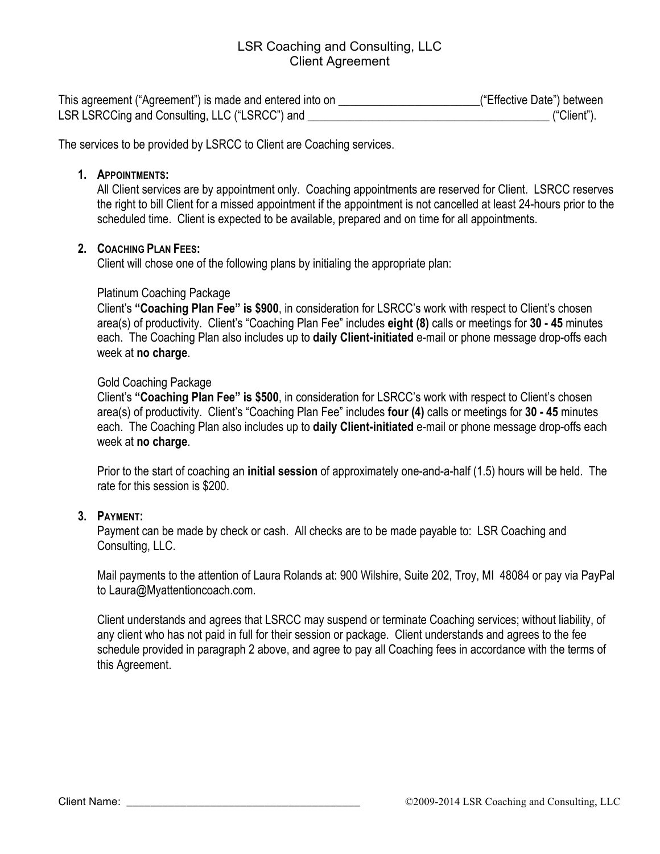# LSR Coaching and Consulting, LLC Client Agreement

| This agreement ("Agreement") is made and entered into on | ("Effective Date") between |
|----------------------------------------------------------|----------------------------|
| LSR LSRCCing and Consulting, LLC ("LSRCC") and           | ("Client").                |

The services to be provided by LSRCC to Client are Coaching services.

#### **1. APPOINTMENTS:**

All Client services are by appointment only. Coaching appointments are reserved for Client. LSRCC reserves the right to bill Client for a missed appointment if the appointment is not cancelled at least 24-hours prior to the scheduled time. Client is expected to be available, prepared and on time for all appointments.

### **2. COACHING PLAN FEES:**

Client will chose one of the following plans by initialing the appropriate plan:

### Platinum Coaching Package

Client's **"Coaching Plan Fee" is \$900**, in consideration for LSRCC's work with respect to Client's chosen area(s) of productivity. Client's "Coaching Plan Fee" includes **eight (8)** calls or meetings for **30 - 45** minutes each. The Coaching Plan also includes up to **daily Client-initiated** e-mail or phone message drop-offs each week at **no charge**.

### Gold Coaching Package

Client's **"Coaching Plan Fee" is \$500**, in consideration for LSRCC's work with respect to Client's chosen area(s) of productivity. Client's "Coaching Plan Fee" includes **four (4)** calls or meetings for **30 - 45** minutes each. The Coaching Plan also includes up to **daily Client-initiated** e-mail or phone message drop-offs each week at **no charge**.

Prior to the start of coaching an **initial session** of approximately one-and-a-half (1.5) hours will be held. The rate for this session is \$200.

# **3. PAYMENT:**

Payment can be made by check or cash. All checks are to be made payable to: LSR Coaching and Consulting, LLC.

Mail payments to the attention of Laura Rolands at: 900 Wilshire, Suite 202, Troy, MI 48084 or pay via PayPal to Laura@Myattentioncoach.com.

Client understands and agrees that LSRCC may suspend or terminate Coaching services; without liability, of any client who has not paid in full for their session or package. Client understands and agrees to the fee schedule provided in paragraph 2 above, and agree to pay all Coaching fees in accordance with the terms of this Agreement.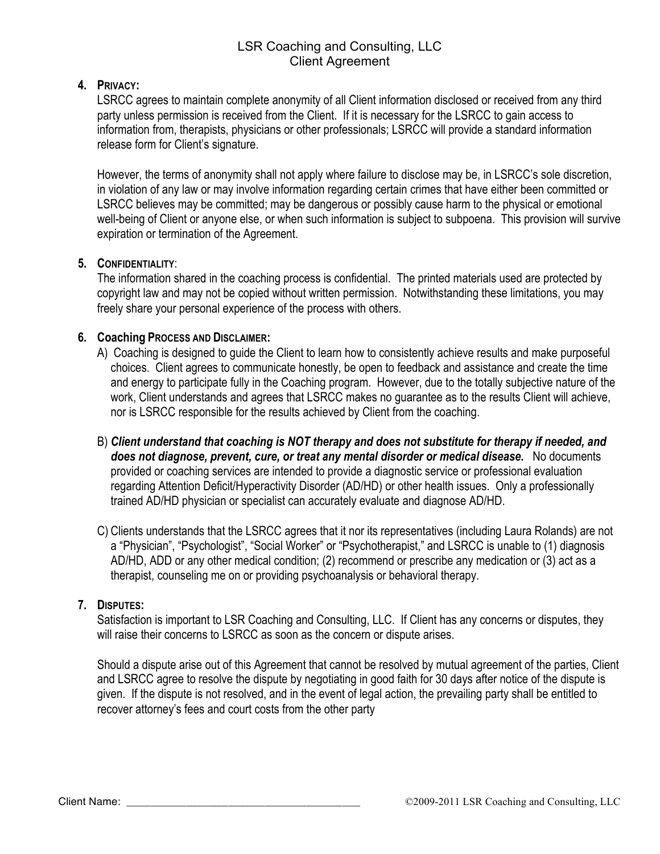# LSR Coaching and Consulting, LLC Client Agreement

# **4. PRIVACY:**

LSRCC agrees to maintain complete anonymity of all Client information disclosed or received from any third party unless permission is received from the Client. If it is necessary for the LSRCC to gain access to information from, therapists, physicians or other professionals; LSRCC will provide a standard information release form for Client's signature.

However, the terms of anonymity shall not apply where failure to disclose may be, in LSRCC's sole discretion, in violation of any law or may involve information regarding certain crimes that have either been committed or LSRCC believes may be committed; may be dangerous or possibly cause harm to the physical or emotional well-being of Client or anyone else, or when such information is subject to subpoena. This provision will survive expiration or termination of the Agreement.

# **5. CONFIDENTIALITY**:

The information shared in the coaching process is confidential. The printed materials used are protected by copyright law and may not be copied without written permission. Notwithstanding these limitations, you may freely share your personal experience of the process with others.

# **6. Coaching PROCESS AND DISCLAIMER:**

- A) Coaching is designed to guide the Client to learn how to consistently achieve results and make purposeful choices. Client agrees to communicate honestly, be open to feedback and assistance and create the time and energy to participate fully in the Coaching program. However, due to the totally subjective nature of the work, Client understands and agrees that LSRCC makes no guarantee as to the results Client will achieve, nor is LSRCC responsible for the results achieved by Client from the coaching.
- B) *Client understand that coaching is NOT therapy and does not substitute for therapy if needed, and*  does not diagnose, prevent, cure, or treat any mental disorder or medical disease. No documents provided or coaching services are intended to provide a diagnostic service or professional evaluation regarding Attention Deficit/Hyperactivity Disorder (AD/HD) or other health issues. Only a professionally trained AD/HD physician or specialist can accurately evaluate and diagnose AD/HD.
- C) Clients understands that the LSRCC agrees that it nor its representatives (including Laura Rolands) are not a "Physician", "Psychologist", "Social Worker" or "Psychotherapist," and LSRCC is unable to (1) diagnosis AD/HD, ADD or any other medical condition; (2) recommend or prescribe any medication or (3) act as a therapist, counseling me on or providing psychoanalysis or behavioral therapy.

#### **7. DISPUTES:**

Satisfaction is important to LSR Coaching and Consulting, LLC. If Client has any concerns or disputes, they will raise their concerns to LSRCC as soon as the concern or dispute arises.

Should a dispute arise out of this Agreement that cannot be resolved by mutual agreement of the parties, Client and LSRCC agree to resolve the dispute by negotiating in good faith for 30 days after notice of the dispute is given. If the dispute is not resolved, and in the event of legal action, the prevailing party shall be entitled to recover attorney's fees and court costs from the other party